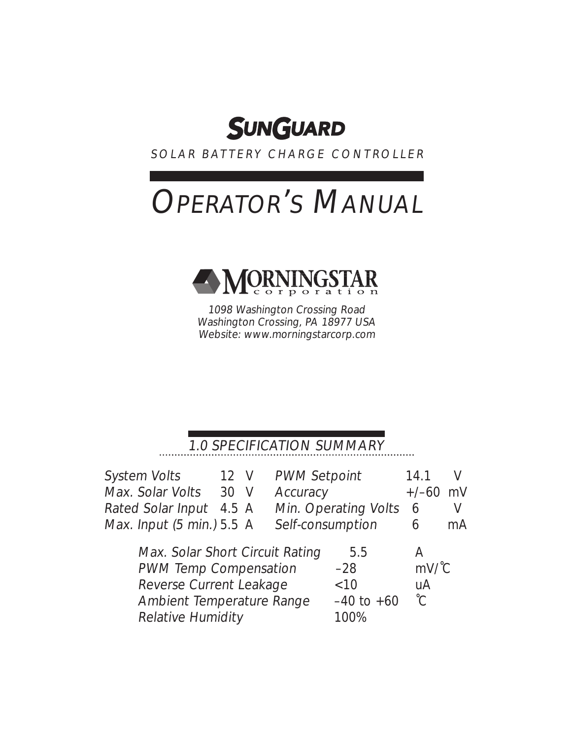

SOLAR BATTERY CHARGE CONTROLLER

# **OPERATOR'S MANUAL**



1098 Washington Crossing Road Washington Crossing, PA 18977 USA Website: www.morningstarcorp.com

#### 1.0 SPECIFICATION SUMMARY

| <b>System Volts</b>                         |      | 12 V PWM Setpoint      | 14.1       |     |
|---------------------------------------------|------|------------------------|------------|-----|
| Max. Solar Volts                            | 30 V | Accuracy               | $+/-60$ mV |     |
| Rated Solar Input 4.5 A                     |      | Min. Operating Volts 6 |            |     |
| Max. Input $(5 \text{ min.}) 5.5 \text{ A}$ |      | Self-consumption       | 6          | mA. |
| May Solar Short Circuit Dating              |      | トトー                    |            |     |

| Max. Solar Short Circuit Rating  | 5.5            |                |
|----------------------------------|----------------|----------------|
| <b>PWM Temp Compensation</b>     | $-28$          | $mV^{\prime}C$ |
| Reverse Current Leakage          | <10            | uA             |
| <b>Ambient Temperature Range</b> | $-40$ to $+60$ | $^{\circ}$ C   |
| <b>Relative Humidity</b>         | 100%           |                |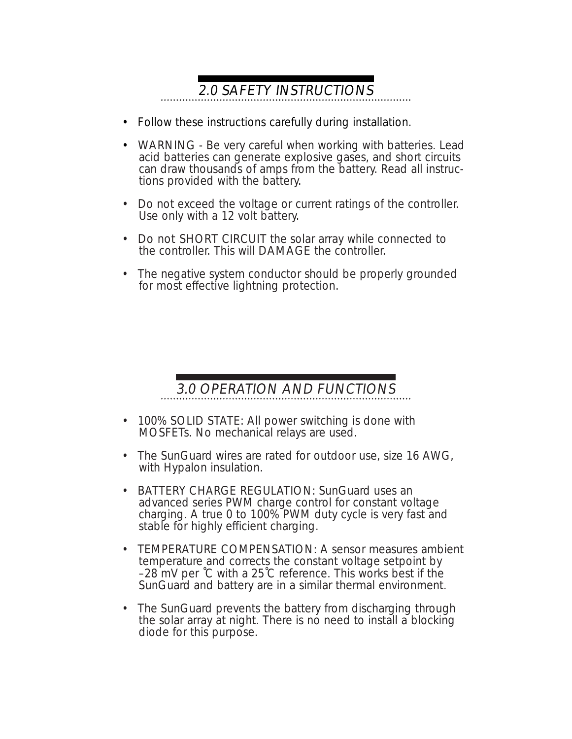# 2.0 SAFETY INSTRUCTIONS

- Follow these instructions carefully during installation.
- WARNING Be very careful when working with batteries. Lead acid batteries can generate explosive gases, and short circuits can draw thousands of amps from the battery. Read all instructions provided with the battery.
- Do not exceed the voltage or current ratings of the controller. Use only with a 12 volt battery.
- Do not SHORT CIRCUIT the solar array while connected to the controller. This will DAMAGE the controller.
- The negative system conductor should be properly grounded for most effective lightning protection.

### 3.0 OPERATION AND FUNCTIONS

- 100% SOLID STATE: All power switching is done with MOSFETs. No mechanical relays are used.
- The SunGuard wires are rated for outdoor use, size 16 AWG, with Hypalon insulation.
- BATTERY CHARGE REGULATION: SunGuard uses an advanced series PWM charge control for constant voltage charging. A true 0 to 100% PWM duty cycle is very fast and stable for highly efficient charging.
- TEMPERATURE COMPENSATION: A sensor measures ambient temperature and corrects the constant voltage setpoint by –28 mV per ˚C with a 25˚C reference. This works best if the SunGuard and battery are in a similar thermal environment.
- The SunGuard prevents the battery from discharging through the solar array at night. There is no need to install a blocking diode for this purpose.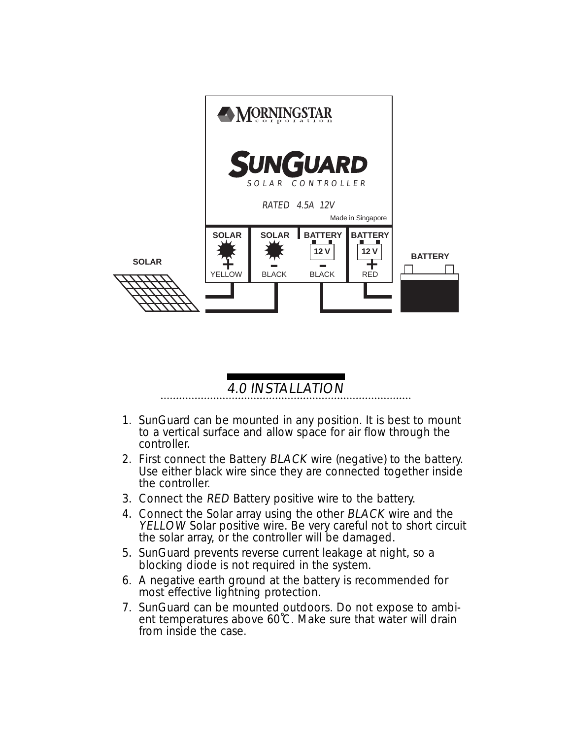

#### 4.0 INSTALLATION

- 1. SunGuard can be mounted in any position. It is best to mount to a vertical surface and allow space for air flow through the controller.
- 2. First connect the Battery **BLACK** wire (negative) to the battery. Use either black wire since they are connected together inside the controller.
- 3. Connect the **RED** Battery positive wire to the battery.
- 4. Connect the Solar array using the other **BLACK** wire and the YELLOW Solar positive wire. Be very careful not to short circuit the solar array, or the controller will be damaged.
- 5. SunGuard prevents reverse current leakage at night, so a blocking diode is not required in the system.
- 6. A negative earth ground at the battery is recommended for most effective lightning protection.
- 7. SunGuard can be mounted outdoors. Do not expose to ambient temperatures above 60˚C. Make sure that water will drain from inside the case.